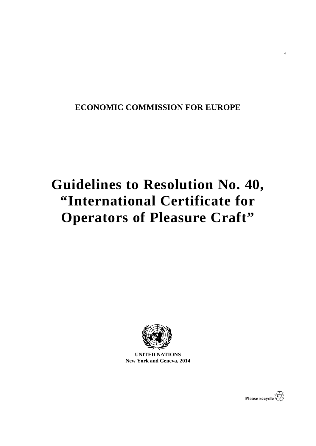# **ECONOMIC COMMISSION FOR EUROPE**

# **Guidelines to Resolution No. 40, "International Certificate for Operators of Pleasure Craft"**



**UNITED NATIONS New York and Geneva, 2014**



4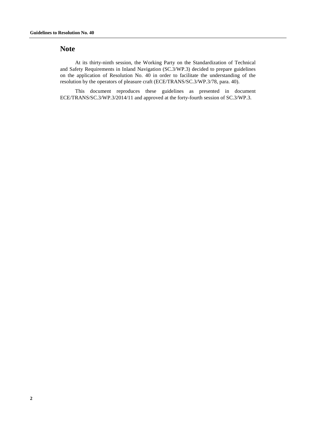# **Note**

At its thirty-ninth session, the Working Party on the Standardization of Technical and Safety Requirements in Inland Navigation (SC.3/WP.3) decided to prepare guidelines on the application of Resolution No. 40 in order to facilitate the understanding of the resolution by the operators of pleasure craft (ECE/TRANS/SC.3/WP.3/78, para. 40).

This document reproduces these guidelines as presented in document ECE/TRANS/SC.3/WP.3/2014/11 and approved at the forty-fourth session of SC.3/WP.3.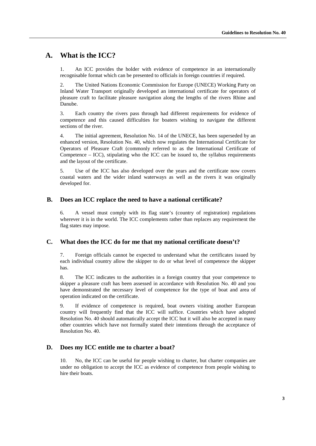# **A. What is the ICC?**

1. An ICC provides the holder with evidence of competence in an internationally recognisable format which can be presented to officials in foreign countries if required.

2. The United Nations Economic Commission for Europe (UNECE) Working Party on Inland Water Transport originally developed an international certificate for operators of pleasure craft to facilitate pleasure navigation along the lengths of the rivers Rhine and Danube.

3. Each country the rivers pass through had different requirements for evidence of competence and this caused difficulties for boaters wishing to navigate the different sections of the river.

4. The initial agreement, Resolution No. 14 of the UNECE, has been superseded by an enhanced version, Resolution No. 40, which now regulates the International Certificate for Operators of Pleasure Craft (commonly referred to as the International Certificate of Competence  $-$  ICC), stipulating who the ICC can be issued to, the syllabus requirements and the layout of the certificate.

5. Use of the ICC has also developed over the years and the certificate now covers coastal waters and the wider inland waterways as well as the rivers it was originally developed for.

#### **B. Does an ICC replace the need to have a national certificate?**

6. A vessel must comply with its flag state's (country of registration) regulations wherever it is in the world. The ICC complements rather than replaces any requirement the flag states may impose.

#### **C. What does the ICC do for me that my national certificate doesn't?**

7. Foreign officials cannot be expected to understand what the certificates issued by each individual country allow the skipper to do or what level of competence the skipper has.

8. The ICC indicates to the authorities in a foreign country that your competence to skipper a pleasure craft has been assessed in accordance with Resolution No. 40 and you have demonstrated the necessary level of competence for the type of boat and area of operation indicated on the certificate.

9. If evidence of competence is required, boat owners visiting another European country will frequently find that the ICC will suffice. [Countries which have adopted](http://www.unece.org/fileadmin/DAM/trans/doc/2011/sc3wp3/ECE-TRANS-SC3-2011-12e.pdf)  [Resolution No. 40](http://www.unece.org/fileadmin/DAM/trans/doc/2011/sc3wp3/ECE-TRANS-SC3-2011-12e.pdf) should automatically accept the ICC but it will also be accepted in many other countries which have not formally stated their intentions through the acceptance of Resolution No. 40.

### **D. Does my ICC entitle me to charter a boat?**

10. No, the ICC can be useful for people wishing to charter, but charter companies are under no obligation to accept the ICC as evidence of competence from people wishing to hire their boats.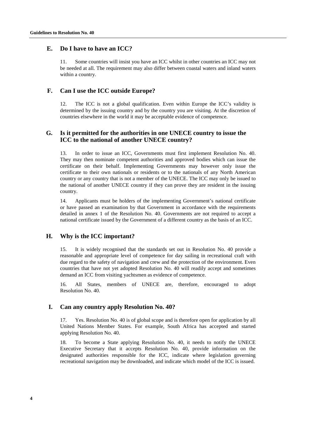#### **E. Do I have to have an ICC?**

11. Some countries will insist you have an ICC whilst in other countries an ICC may not be needed at all. The requirement may also differ between coastal waters and inland waters within a country.

#### **F. Can I use the ICC outside Europe?**

12. The ICC is not a global qualification. Even within Europe the ICC's validity is determined by the issuing country and by the country you are visiting. At the discretion of countries elsewhere in the world it may be acceptable evidence of competence.

# **G. Is it permitted for the authorities in one UNECE country to issue the ICC to the national of another UNECE country?**

In order to issue an ICC, Governments must first implement Resolution No. 40. They may then nominate competent authorities and approved bodies which can issue the certificate on their behalf. Implementing Governments may however only issue the certificate to their own nationals or residents or to the nationals of any North American country or any country that is not a member of the UNECE. The ICC may only be issued to the national of another UNECE country if they can prove they are resident in the issuing country.

14. Applicants must be holders of the implementing Government's national certificate or have passed an examination by that Government in accordance with the requirements detailed in annex 1 of the Resolution No. 40. Governments are not required to accept a national certificate issued by the Government of a different country as the basis of an ICC.

#### **H. Why is the ICC important?**

15. It is widely recognised that the standards set out in Resolution No. 40 provide a reasonable and appropriate level of competence for day sailing in recreational craft with due regard to the safety of navigation and crew and the protection of the environment. Even countries that have not yet adopted Resolution No. 40 will readily accept and sometimes demand an ICC from visiting yachtsmen as evidence of competence.

16. All States, members of UNECE are, therefore, encouraged to adopt Resolution No. 40.

#### **I. Can any country apply Resolution No. 40?**

17. Yes. Resolution No. 40 is of global scope and is therefore open for application by all United Nations Member States. For example, South Africa has accepted and started applying Resolution No. 40.

18. To become a State applying Resolution No. 40, it needs to notify the UNECE Executive Secretary that it accepts Resolution No. 40, provide information on the designated authorities responsible for the ICC, indicate where legislation governing recreational navigation may be downloaded, and indicate which model of the ICC is issued.